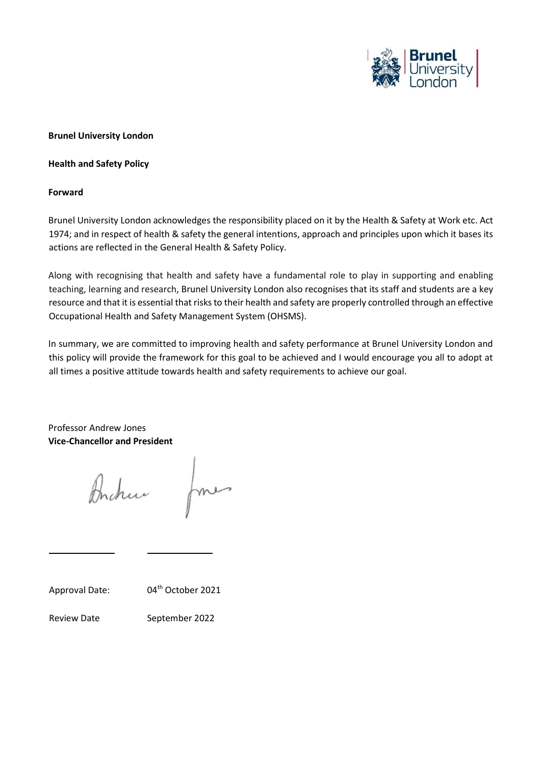

### **Brunel University London**

**Health and Safety Policy** 

#### **Forward**

Brunel University London acknowledges the responsibility placed on it by the Health & Safety at Work etc. Act 1974; and in respect of health & safety the general intentions, approach and principles upon which it bases its actions are reflected in the General Health & Safety Policy.

Along with recognising that health and safety have a fundamental role to play in supporting and enabling teaching, learning and research, Brunel University London also recognises that its staff and students are a key resource and that it is essential that risks to their health and safety are properly controlled through an effective Occupational Health and Safety Management System (OHSMS).

In summary, we are committed to improving health and safety performance at Brunel University London and this policy will provide the framework for this goal to be achieved and I would encourage you all to adopt at all times a positive attitude towards health and safety requirements to achieve our goal.

Professor Andrew Jones **Vice-Chancellor and President** 

Brchu

Approval Date: 04<sup>th</sup> October 2021

Review Date September 2022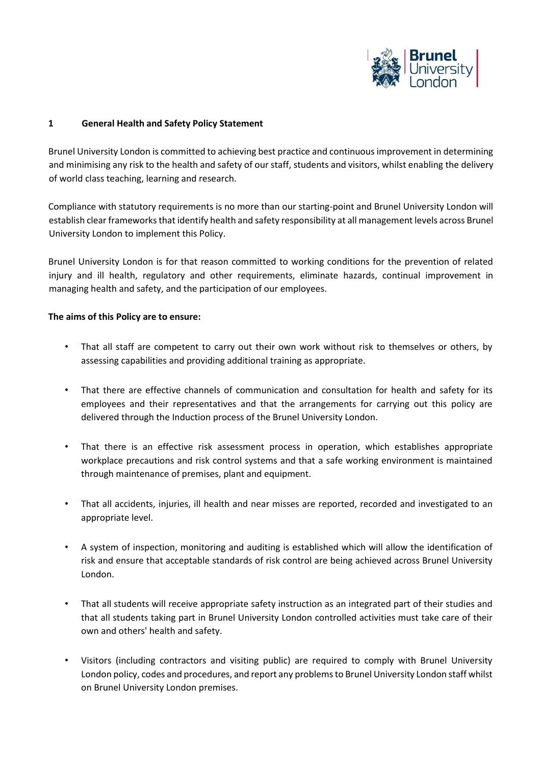

### **1 General Health and Safety Policy Statement**

Brunel University London is committed to achieving best practice and continuous improvement in determining and minimising any risk to the health and safety of our staff, students and visitors, whilst enabling the delivery of world class teaching, learning and research.

Compliance with statutory requirements is no more than our starting-point and Brunel University London will establish clear frameworks that identify health and safety responsibility at all management levels across Brunel University London to implement this Policy.

Brunel University London is for that reason committed to working conditions for the prevention of related injury and ill health, regulatory and other requirements, eliminate hazards, continual improvement in managing health and safety, and the participation of our employees.

### **The aims of this Policy are to ensure:**

- That all staff are competent to carry out their own work without risk to themselves or others, by assessing capabilities and providing additional training as appropriate.
- That there are effective channels of communication and consultation for health and safety for its employees and their representatives and that the arrangements for carrying out this policy are delivered through the Induction process of the Brunel University London.
- That there is an effective risk assessment process in operation, which establishes appropriate workplace precautions and risk control systems and that a safe working environment is maintained through maintenance of premises, plant and equipment.
- That all accidents, injuries, ill health and near misses are reported, recorded and investigated to an appropriate level.
- A system of inspection, monitoring and auditing is established which will allow the identification of risk and ensure that acceptable standards of risk control are being achieved across Brunel University London.
- That all students will receive appropriate safety instruction as an integrated part of their studies and that all students taking part in Brunel University London controlled activities must take care of their own and others' health and safety.
- Visitors (including contractors and visiting public) are required to comply with Brunel University London policy, codes and procedures, and report any problems to Brunel University London staff whilst on Brunel University London premises.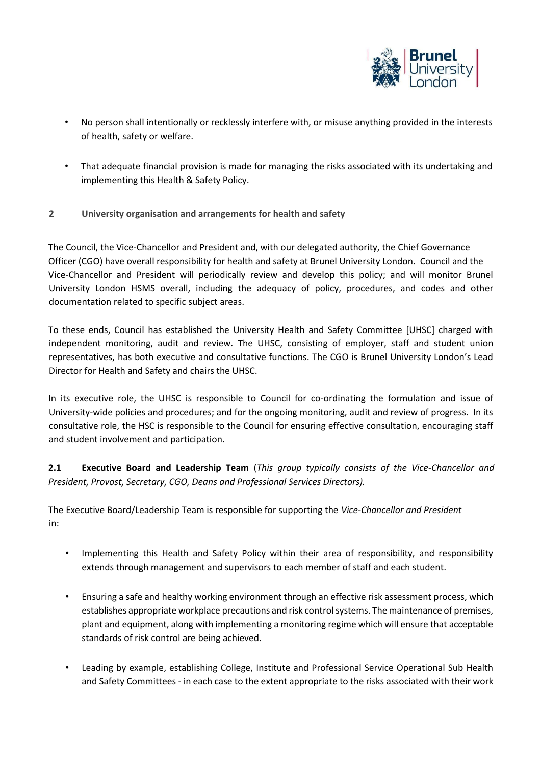

- No person shall intentionally or recklessly interfere with, or misuse anything provided in the interests of health, safety or welfare.
- That adequate financial provision is made for managing the risks associated with its undertaking and implementing this Health & Safety Policy.
- **2 University organisation and arrangements for health and safety**

The Council, the Vice-Chancellor and President and, with our delegated authority, the Chief Governance Officer (CGO) have overall responsibility for health and safety at Brunel University London. Council and the Vice-Chancellor and President will periodically review and develop this policy; and will monitor Brunel University London HSMS overall, including the adequacy of policy, procedures, and codes and other documentation related to specific subject areas.

To these ends, Council has established the University Health and Safety Committee [UHSC] charged with independent monitoring, audit and review. The UHSC, consisting of employer, staff and student union representatives, has both executive and consultative functions. The CGO is Brunel University London's Lead Director for Health and Safety and chairs the UHSC.

In its executive role, the UHSC is responsible to Council for co-ordinating the formulation and issue of University-wide policies and procedures; and for the ongoing monitoring, audit and review of progress. In its consultative role, the HSC is responsible to the Council for ensuring effective consultation, encouraging staff and student involvement and participation.

**2.1 Executive Board and Leadership Team** (*This group typically consists of the Vice-Chancellor and President, Provost, Secretary, CGO, Deans and Professional Services Directors).* 

The Executive Board/Leadership Team is responsible for supporting the *Vice-Chancellor and President* in:

- Implementing this Health and Safety Policy within their area of responsibility, and responsibility extends through management and supervisors to each member of staff and each student.
- Ensuring a safe and healthy working environment through an effective risk assessment process, which establishes appropriate workplace precautions and risk control systems. The maintenance of premises, plant and equipment, along with implementing a monitoring regime which will ensure that acceptable standards of risk control are being achieved.
- Leading by example, establishing College, Institute and Professional Service Operational Sub Health and Safety Committees - in each case to the extent appropriate to the risks associated with their work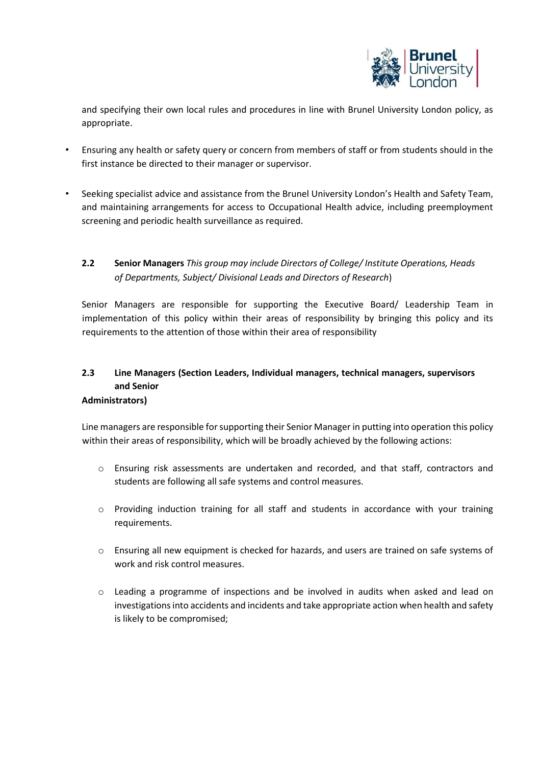

and specifying their own local rules and procedures in line with Brunel University London policy, as appropriate.

- Ensuring any health or safety query or concern from members of staff or from students should in the first instance be directed to their manager or supervisor.
- Seeking specialist advice and assistance from the Brunel University London's Health and Safety Team, and maintaining arrangements for access to Occupational Health advice, including preemployment screening and periodic health surveillance as required.

## **2.2 Senior Managers** *This group may include Directors of College/ Institute Operations, Heads of Departments, Subject/ Divisional Leads and Directors of Research*)

Senior Managers are responsible for supporting the Executive Board/ Leadership Team in implementation of this policy within their areas of responsibility by bringing this policy and its requirements to the attention of those within their area of responsibility

# **2.3 Line Managers (Section Leaders, Individual managers, technical managers, supervisors and Senior**

### **Administrators)**

Line managers are responsible for supporting their Senior Manager in putting into operation this policy within their areas of responsibility, which will be broadly achieved by the following actions:

- o Ensuring risk assessments are undertaken and recorded, and that staff, contractors and students are following all safe systems and control measures.
- $\circ$  Providing induction training for all staff and students in accordance with your training requirements.
- o Ensuring all new equipment is checked for hazards, and users are trained on safe systems of work and risk control measures.
- o Leading a programme of inspections and be involved in audits when asked and lead on investigations into accidents and incidents and take appropriate action when health and safety is likely to be compromised;